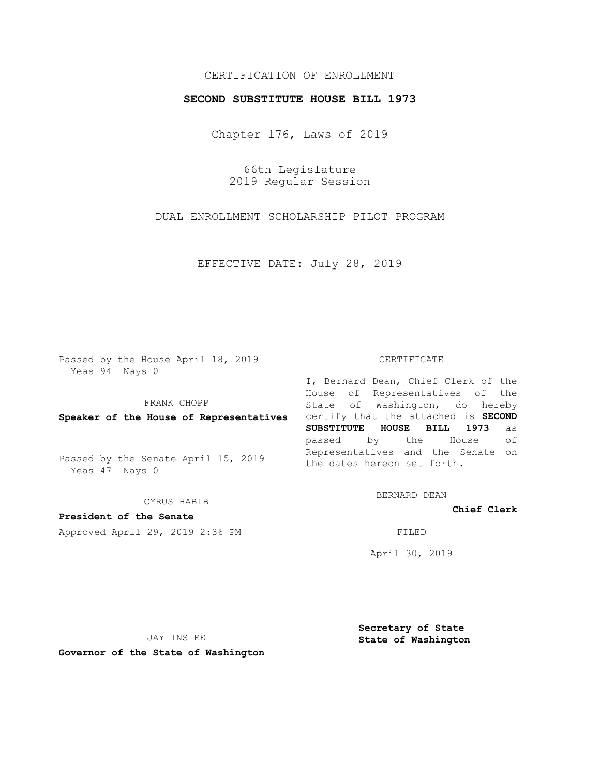## CERTIFICATION OF ENROLLMENT

### **SECOND SUBSTITUTE HOUSE BILL 1973**

Chapter 176, Laws of 2019

66th Legislature 2019 Regular Session

DUAL ENROLLMENT SCHOLARSHIP PILOT PROGRAM

EFFECTIVE DATE: July 28, 2019

Passed by the House April 18, 2019 Yeas 94 Nays 0

FRANK CHOPP

Passed by the Senate April 15, 2019 Yeas 47 Nays 0

CYRUS HABIB

**President of the Senate**

Approved April 29, 2019 2:36 PM FILED

#### CERTIFICATE

**Speaker of the House of Representatives** certify that the attached is **SECOND** I, Bernard Dean, Chief Clerk of the House of Representatives of the State of Washington, do hereby **SUBSTITUTE HOUSE BILL 1973** as passed by the House of Representatives and the Senate on the dates hereon set forth.

BERNARD DEAN

**Chief Clerk**

April 30, 2019

JAY INSLEE

**Governor of the State of Washington**

**Secretary of State State of Washington**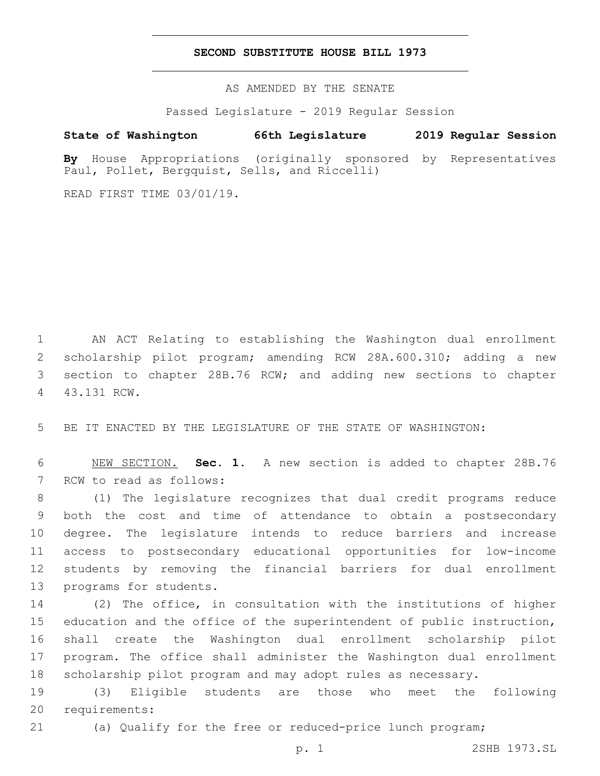## **SECOND SUBSTITUTE HOUSE BILL 1973**

AS AMENDED BY THE SENATE

Passed Legislature - 2019 Regular Session

# **State of Washington 66th Legislature 2019 Regular Session**

**By** House Appropriations (originally sponsored by Representatives Paul, Pollet, Bergquist, Sells, and Riccelli)

READ FIRST TIME 03/01/19.

 AN ACT Relating to establishing the Washington dual enrollment scholarship pilot program; amending RCW 28A.600.310; adding a new section to chapter 28B.76 RCW; and adding new sections to chapter 43.131 RCW.4

5 BE IT ENACTED BY THE LEGISLATURE OF THE STATE OF WASHINGTON:

6 NEW SECTION. **Sec. 1.** A new section is added to chapter 28B.76 7 RCW to read as follows:

 (1) The legislature recognizes that dual credit programs reduce both the cost and time of attendance to obtain a postsecondary degree. The legislature intends to reduce barriers and increase access to postsecondary educational opportunities for low-income students by removing the financial barriers for dual enrollment 13 programs for students.

 (2) The office, in consultation with the institutions of higher education and the office of the superintendent of public instruction, shall create the Washington dual enrollment scholarship pilot program. The office shall administer the Washington dual enrollment scholarship pilot program and may adopt rules as necessary.

19 (3) Eligible students are those who meet the following 20 requirements:

21 (a) Qualify for the free or reduced-price lunch program;

p. 1 2SHB 1973.SL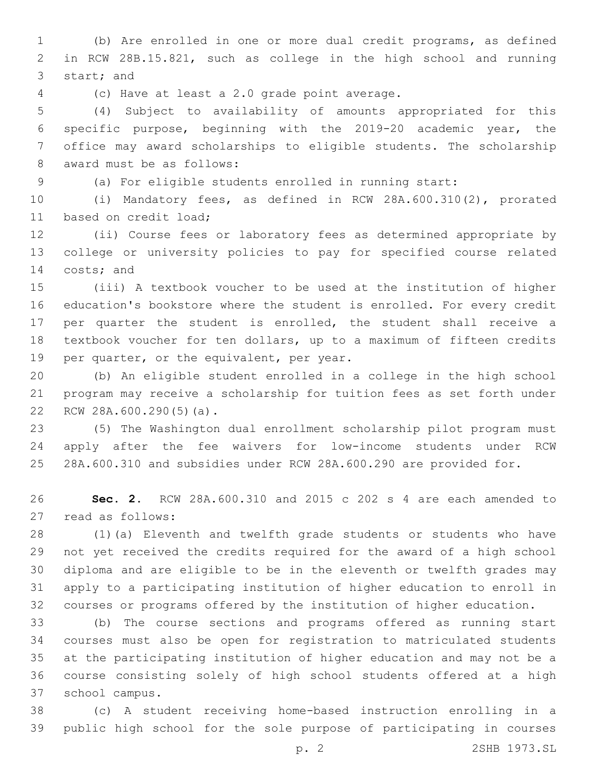(b) Are enrolled in one or more dual credit programs, as defined in RCW 28B.15.821, such as college in the high school and running 3 start; and

(c) Have at least a 2.0 grade point average.4

 (4) Subject to availability of amounts appropriated for this specific purpose, beginning with the 2019-20 academic year, the office may award scholarships to eligible students. The scholarship 8 award must be as follows:

(a) For eligible students enrolled in running start:

 (i) Mandatory fees, as defined in RCW 28A.600.310(2), prorated 11 based on credit load;

 (ii) Course fees or laboratory fees as determined appropriate by college or university policies to pay for specified course related 14 costs; and

 (iii) A textbook voucher to be used at the institution of higher education's bookstore where the student is enrolled. For every credit per quarter the student is enrolled, the student shall receive a textbook voucher for ten dollars, up to a maximum of fifteen credits 19 per quarter, or the equivalent, per year.

 (b) An eligible student enrolled in a college in the high school program may receive a scholarship for tuition fees as set forth under 22 RCW 28A.600.290(5)(a).

 (5) The Washington dual enrollment scholarship pilot program must apply after the fee waivers for low-income students under RCW 28A.600.310 and subsidies under RCW 28A.600.290 are provided for.

 **Sec. 2.** RCW 28A.600.310 and 2015 c 202 s 4 are each amended to 27 read as follows:

 (1)(a) Eleventh and twelfth grade students or students who have not yet received the credits required for the award of a high school diploma and are eligible to be in the eleventh or twelfth grades may apply to a participating institution of higher education to enroll in courses or programs offered by the institution of higher education.

 (b) The course sections and programs offered as running start courses must also be open for registration to matriculated students at the participating institution of higher education and may not be a course consisting solely of high school students offered at a high school campus.37

 (c) A student receiving home-based instruction enrolling in a public high school for the sole purpose of participating in courses

p. 2 2SHB 1973.SL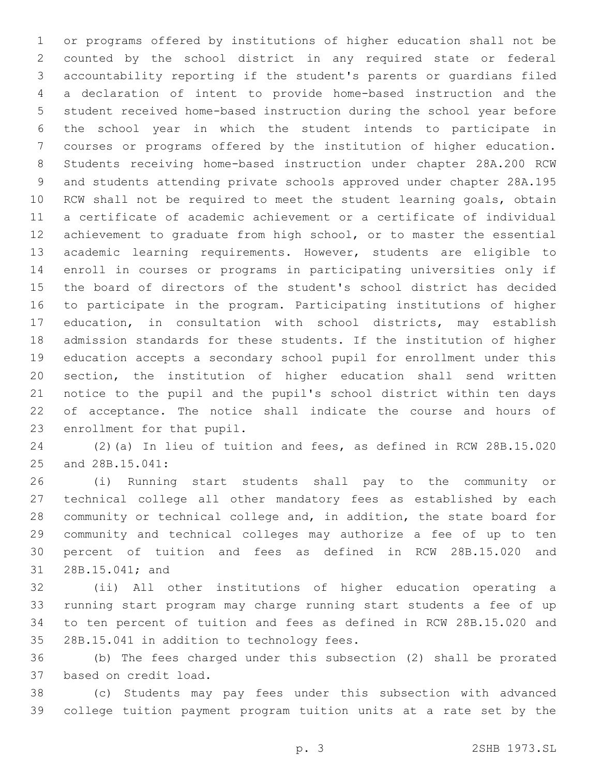or programs offered by institutions of higher education shall not be counted by the school district in any required state or federal accountability reporting if the student's parents or guardians filed a declaration of intent to provide home-based instruction and the student received home-based instruction during the school year before the school year in which the student intends to participate in courses or programs offered by the institution of higher education. Students receiving home-based instruction under chapter 28A.200 RCW and students attending private schools approved under chapter 28A.195 RCW shall not be required to meet the student learning goals, obtain a certificate of academic achievement or a certificate of individual achievement to graduate from high school, or to master the essential academic learning requirements. However, students are eligible to enroll in courses or programs in participating universities only if the board of directors of the student's school district has decided to participate in the program. Participating institutions of higher education, in consultation with school districts, may establish admission standards for these students. If the institution of higher education accepts a secondary school pupil for enrollment under this section, the institution of higher education shall send written notice to the pupil and the pupil's school district within ten days of acceptance. The notice shall indicate the course and hours of 23 enrollment for that pupil.

 (2)(a) In lieu of tuition and fees, as defined in RCW 28B.15.020 25 and 28B.15.041:

 (i) Running start students shall pay to the community or technical college all other mandatory fees as established by each community or technical college and, in addition, the state board for community and technical colleges may authorize a fee of up to ten percent of tuition and fees as defined in RCW 28B.15.020 and 31 28B.15.041; and

 (ii) All other institutions of higher education operating a running start program may charge running start students a fee of up to ten percent of tuition and fees as defined in RCW 28B.15.020 and 35 28B.15.041 in addition to technology fees.

 (b) The fees charged under this subsection (2) shall be prorated 37 based on credit load.

 (c) Students may pay fees under this subsection with advanced college tuition payment program tuition units at a rate set by the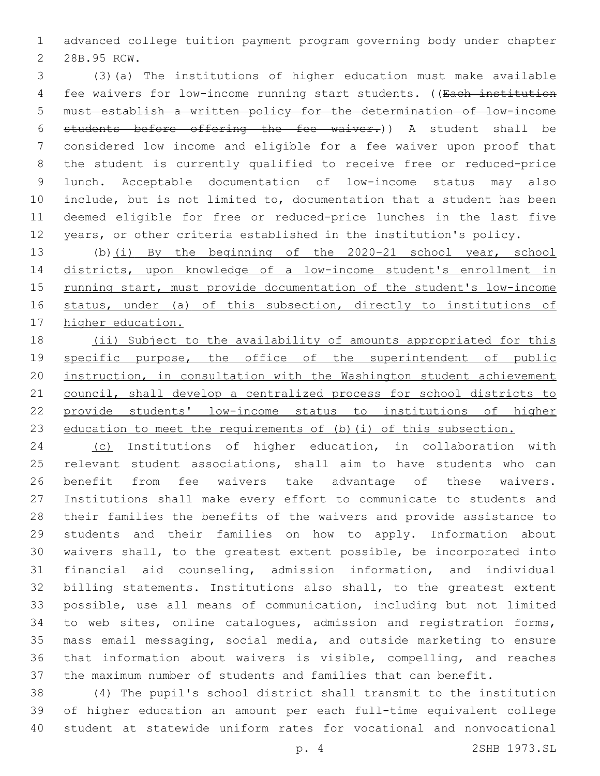advanced college tuition payment program governing body under chapter 2 28B.95 RCW.

 (3)(a) The institutions of higher education must make available fee waivers for low-income running start students. ((Each institution must establish a written policy for the determination of low-income students before offering the fee waiver.)) A student shall be considered low income and eligible for a fee waiver upon proof that the student is currently qualified to receive free or reduced-price lunch. Acceptable documentation of low-income status may also include, but is not limited to, documentation that a student has been deemed eligible for free or reduced-price lunches in the last five years, or other criteria established in the institution's policy.

13 (b)(i) By the beginning of the 2020-21 school year, school districts, upon knowledge of a low-income student's enrollment in 15 running start, must provide documentation of the student's low-income status, under (a) of this subsection, directly to institutions of higher education.

 (ii) Subject to the availability of amounts appropriated for this 19 specific purpose, the office of the superintendent of public instruction, in consultation with the Washington student achievement council, shall develop a centralized process for school districts to provide students' low-income status to institutions of higher 23 education to meet the requirements of (b)(i) of this subsection.

 (c) Institutions of higher education, in collaboration with relevant student associations, shall aim to have students who can benefit from fee waivers take advantage of these waivers. Institutions shall make every effort to communicate to students and their families the benefits of the waivers and provide assistance to students and their families on how to apply. Information about waivers shall, to the greatest extent possible, be incorporated into financial aid counseling, admission information, and individual billing statements. Institutions also shall, to the greatest extent possible, use all means of communication, including but not limited to web sites, online catalogues, admission and registration forms, mass email messaging, social media, and outside marketing to ensure that information about waivers is visible, compelling, and reaches the maximum number of students and families that can benefit.

 (4) The pupil's school district shall transmit to the institution of higher education an amount per each full-time equivalent college student at statewide uniform rates for vocational and nonvocational